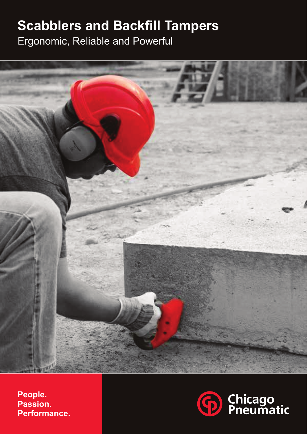## **Scabblers and Backfill Tampers**

Ergonomic, Reliable and Powerful



**People. Passion. Performance.**

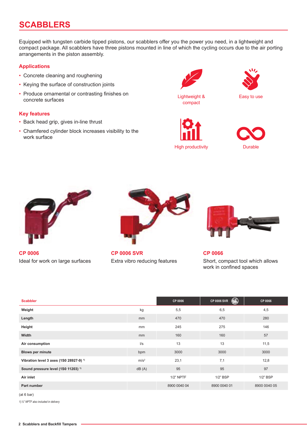## **SCABBLERS**

Equipped with tungsten carbide tipped pistons, our scabblers offer you the power you need, in a lightweight and compact package. All scabblers have three pistons mounted in line of which the cycling occurs due to the air porting arrangements in the piston assembly.

#### **Applications**

- Concrete cleaning and roughening
- Keying the surface of construction joints
- Produce ornamental or contrasting finishes on concrete surfaces

#### **Key features**

- Back head grip, gives in-line thrust
- Chamfered cylinder block increases visibility to the work surface



Lightweight & compact









**CP 0006** Ideal for work on large surfaces



**CP 0006 SVR** Extra vibro reducing features



**CP 0066** Short, compact tool which allows work in confined spaces

| <b>Scabbler</b>                                    |                  | CP 0006      | ₩<br><b>CP 0006 SVR</b> | CP 0066      |
|----------------------------------------------------|------------------|--------------|-------------------------|--------------|
| Weight                                             | kg               | 5,5          | 6,5                     | 4,5          |
| Length                                             | mm               | 470          | 470                     | 280          |
| Height                                             | mm               | 245          | 275                     | 146          |
| Width                                              | mm               | 160          | 160                     | 57           |
| Air consumption                                    | $\sqrt{s}$       | 13           | 13                      | 11,5         |
| <b>Blows per minute</b>                            | bpm              | 3000         | 3000                    | 3000         |
| Vibration level 3 axes (1S0 28927-9) <sup>1)</sup> | m/s <sup>2</sup> | 23,1         | 7,1                     | 12,8         |
| Sound pressure level (1S0 11203) <sup>1)</sup>     | dB(A)            | 95           | 95                      | 97           |
| Air inlet                                          |                  | $1/2$ " NPTF | $1/2$ " BSP             | $1/2$ " BSP  |
| Part number                                        |                  | 8900 0040 04 | 8900 0040 01            | 8900 0040 05 |

<sup>(</sup>at 6 bar)

*1)½" NPTF also included in delivery*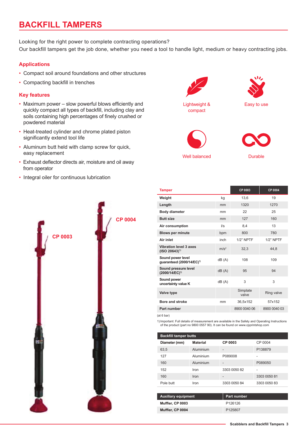## **BACKFILL TAMPERS**

Looking for the right power to complete contracting operations?

Our backfill tampers get the job done, whether you need a tool to handle light, medium or heavy contracting jobs.

#### **Applications**

- Compact soil around foundations and other structures
- Compacting backfill in trenches

#### **Key features**

- Maximum power slow powerful blows efficiently and quickly compact all types of backfill, including clay and soils containing high percentages of finely crushed or powdered material
- Heat-treated cylinder and chrome plated piston significantly extend tool life
- Aluminum butt held with clamp screw for quick, easy replacement
- Exhaust deflector directs air, moisture and oil away from operator
- Integral oiler for continuous lubrication





| <b>Tamper</b>                                              |                  | CP 0003           | CP 0004      |
|------------------------------------------------------------|------------------|-------------------|--------------|
| Weight                                                     | kg               | 13,6              | 19           |
| Length                                                     | mm               | 1320              | 1270         |
| <b>Body diameter</b>                                       | mm               | 22                | 25           |
| <b>Butt size</b>                                           | mm               | 127               | 160          |
| Air consumption                                            | $\frac{1}{s}$    | 8.4               | 13           |
| <b>Blows per minute</b>                                    | bpm              | 800               | 780          |
| Air inlet                                                  | inch             | $1/2$ " NPTF      | $1/2$ " NPTF |
| <b>Vibration level 3 axes</b><br>$(ISO 20643)^{1}$         | m/s <sup>2</sup> | 32,3              | 44.8         |
| Sound power level<br>guaranteed (2000/14/EC) <sup>1)</sup> | dB(A)            | 108               | 109          |
| Sound pressure level<br>(2000/14/EC) <sup>1)</sup>         | dB(A)            | 95                | 94           |
| Sound power<br>uncertainty value K                         | dB(A)            | 3                 | 3            |
| Valve type                                                 |                  | Simplate<br>valve | Ring valve   |
| <b>Bore and stroke</b>                                     | mm               | 36,5x152          | 57x152       |
| Part number                                                |                  | 8900 0040 06      | 8900 0040 03 |

(at 6 bar)

1)Important: Full details of measurement are available in the Safety and Operating Instructions of the product (part no 9800 0557 90). It can be found on www.cpprintshop.com

| <b>Backfill tamper butts</b> |                 |              |              |  |  |
|------------------------------|-----------------|--------------|--------------|--|--|
| Diameter (mm)                | <b>Material</b> | CP 0003      | CP 0004      |  |  |
| 63,5                         | Aluminium       |              | P138879      |  |  |
| 127                          | Aluminium       | P089008      |              |  |  |
| 160                          | Aluminium       | -            | P089050      |  |  |
| 152                          | Iron            | 3303 0050 82 |              |  |  |
| 160                          | Iron            | -            | 3303 0050 81 |  |  |
| Pole butt                    | Iron            | 3303 0050 84 | 3303 0050 83 |  |  |

| <b>Auxiliary equipment</b> | Part number         |
|----------------------------|---------------------|
| Muffler, CP 0003           | P <sub>126126</sub> |
| Muffler, CP 0004           | P <sub>125807</sub> |